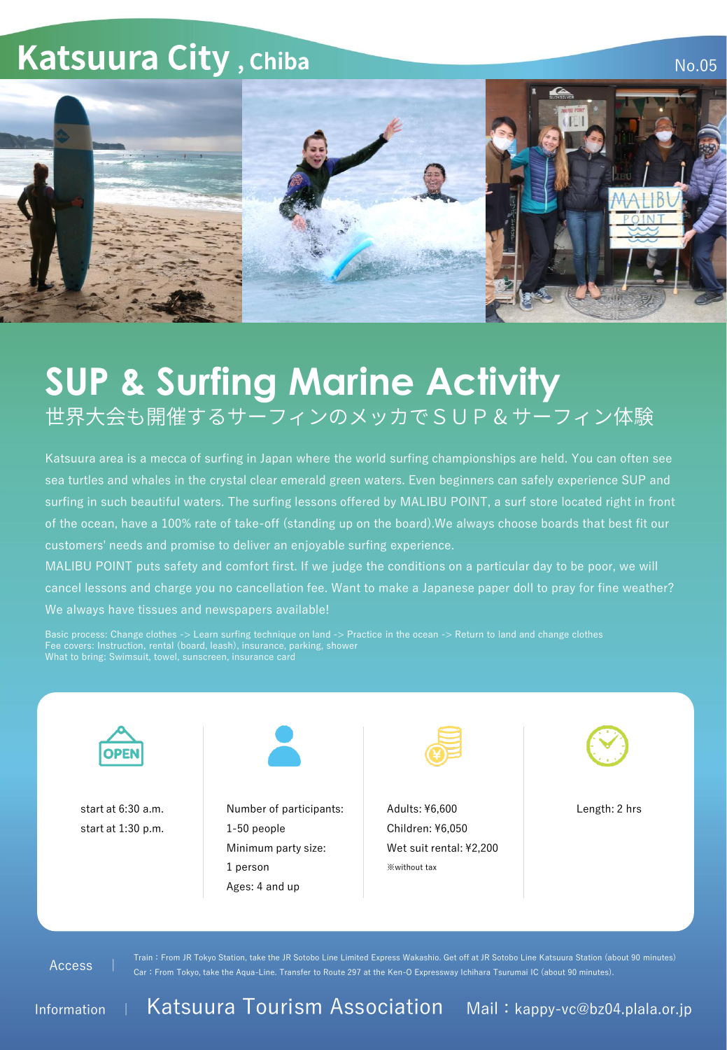## **Katsuura City, Chiba**

No.05



## **SUP & Surfing Marine Activity** 世界大会も開催するサーフィンのメッカでSUP&サーフィン体験

Katsuura area is a mecca of surfing in Japan where the world surfing championships are held. You can often see sea turtles and whales in the crystal clear emerald green waters. Even beginners can safely experience SUP and surfing in such beautiful waters. The surfing lessons offered by MALIBU POINT, a surf store located right in front of the ocean, have a 100% rate of take-off (standing up on the board).We always choose boards that best fit our customers' needs and promise to deliver an enjoyable surfing experience.

MALIBU POINT puts safety and comfort first. If we judge the conditions on a particular day to be poor, we will cancel lessons and charge you no cancellation fee. Want to make a Japanese paper doll to pray for fine weather? We always have tissues and newspapers available!

Basic process: Change clothes -> Learn surfing technique on land -> Practice in the ocean -> Return to land and change clothes Fee covers: Instruction, rental (board, leash), insurance, parking, shower What to bring: Swimsuit, towel, sunscreen, insurance card



start at 1:30 p.m.



start at 6:30 a.m. 
Start at 6:30 a.m. Communist Mumber of participants: Adults: ¥6,600 Start at 6:30 a.m. 1-50 people Minimum party size: 1 person Ages: 4 and up



Adults: ¥6,600 Children: ¥6,050 Wet suit rental: ¥2,200 ※without tax



Access |

Train:From JR Tokyo Station, take the JR Sotobo Line Limited Express Wakashio. Get off at JR Sotobo Line Katsuura Station (about 90 minutes) Car:From Tokyo, take the Aqua-Line. Transfer to Route 297 at the Ken-O Expressway Ichihara Tsurumai IC (about 90 minutes).

Information <sup>|</sup> Katsuura Tourism Association Mail:kappy-vc@bz04.plala.or.jp